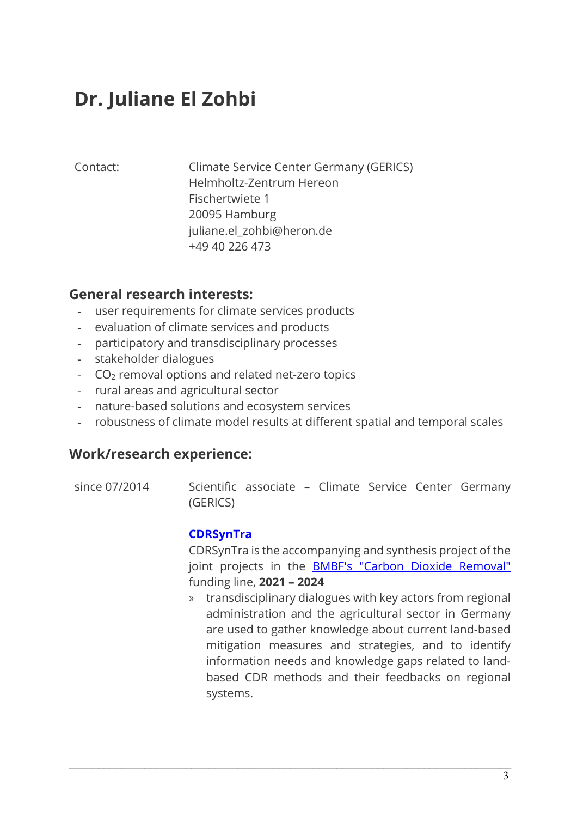# **Dr. Juliane El Zohbi**

Contact: Climate Service Center Germany (GERICS) Helmholtz-Zentrum Hereon Fischertwiete 1 20095 Hamburg juliane.el\_zohbi@heron.de +49 40 226 473

# **General research interests:**

- user requirements for climate services products
- evaluation of climate services and products
- participatory and transdisciplinary processes
- stakeholder dialogues
- CO2 removal options and related net-zero topics
- rural areas and agricultural sector
- nature-based solutions and ecosystem services
- robustness of climate model results at different spatial and temporal scales

#### **Work/research experience:**

since 07/2014 Scientific associate – Climate Service Center Germany (GERICS)

 $\mathcal{L}_\mathcal{L} = \mathcal{L}_\mathcal{L} = \mathcal{L}_\mathcal{L} = \mathcal{L}_\mathcal{L} = \mathcal{L}_\mathcal{L} = \mathcal{L}_\mathcal{L} = \mathcal{L}_\mathcal{L} = \mathcal{L}_\mathcal{L} = \mathcal{L}_\mathcal{L} = \mathcal{L}_\mathcal{L} = \mathcal{L}_\mathcal{L} = \mathcal{L}_\mathcal{L} = \mathcal{L}_\mathcal{L} = \mathcal{L}_\mathcal{L} = \mathcal{L}_\mathcal{L} = \mathcal{L}_\mathcal{L} = \mathcal{L}_\mathcal{L}$ 

#### **CDRSynTra**

CDRSynTra is the accompanying and synthesis project of the joint projects in the **BMBF's "Carbon Dioxide Removal"** funding line, **2021 – 2024**

» transdisciplinary dialogues with key actors from regional administration and the agricultural sector in Germany are used to gather knowledge about current land-based mitigation measures and strategies, and to identify information needs and knowledge gaps related to landbased CDR methods and their feedbacks on regional systems.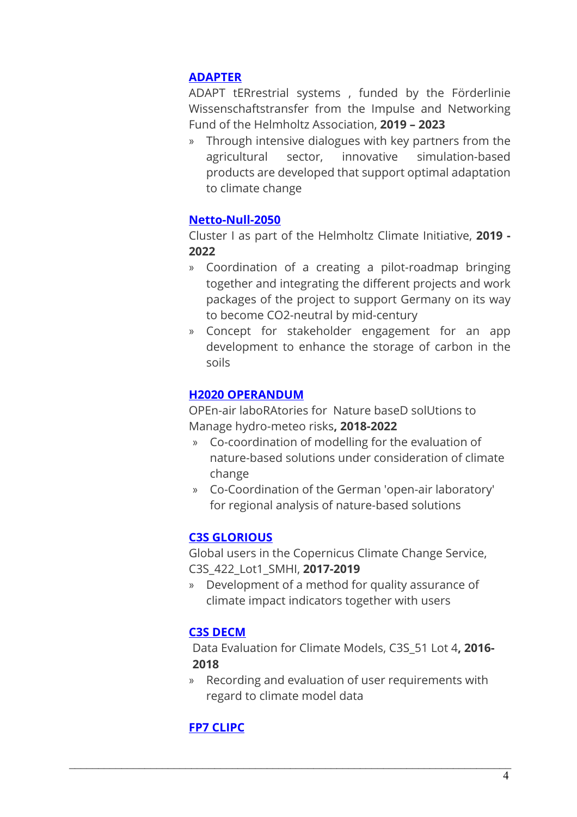### **ADAPTER**

ADAPT tERrestrial systems , funded by the Förderlinie Wissenschaftstransfer from the Impulse and Networking Fund of the Helmholtz Association, **2019 – 2023**

» Through intensive dialogues with key partners from the agricultural sector, innovative simulation-based products are developed that support optimal adaptation to climate change

#### **Netto-Null-2050**

Cluster I as part of the Helmholtz Climate Initiative, **2019 - 2022**

- » Coordination of a creating a pilot-roadmap bringing together and integrating the different projects and work packages of the project to support Germany on its way to become CO2-neutral by mid-century
- » Concept for stakeholder engagement for an app development to enhance the storage of carbon in the soils

#### **H2020 OPERANDUM**

OPEn-air laboRAtories for Nature baseD solUtions to Manage hydro-meteo risks**, 2018-2022**

- » Co-coordination of modelling for the evaluation of nature-based solutions under consideration of climate change
- » Co-Coordination of the German 'open-air laboratory' for regional analysis of nature-based solutions

#### **C3S GLORIOUS**

Global users in the Copernicus Climate Change Service, C3S\_422\_Lot1\_SMHI, **2017-2019**

» Development of a method for quality assurance of climate impact indicators together with users

#### **C3S DECM**

Data Evaluation for Climate Models, C3S\_51 Lot 4**, 2016- 2018** 

» Recording and evaluation of user requirements with regard to climate model data

 $\mathcal{L}_\mathcal{L} = \mathcal{L}_\mathcal{L} = \mathcal{L}_\mathcal{L} = \mathcal{L}_\mathcal{L} = \mathcal{L}_\mathcal{L} = \mathcal{L}_\mathcal{L} = \mathcal{L}_\mathcal{L} = \mathcal{L}_\mathcal{L} = \mathcal{L}_\mathcal{L} = \mathcal{L}_\mathcal{L} = \mathcal{L}_\mathcal{L} = \mathcal{L}_\mathcal{L} = \mathcal{L}_\mathcal{L} = \mathcal{L}_\mathcal{L} = \mathcal{L}_\mathcal{L} = \mathcal{L}_\mathcal{L} = \mathcal{L}_\mathcal{L}$ 

# **FP7 CLIPC**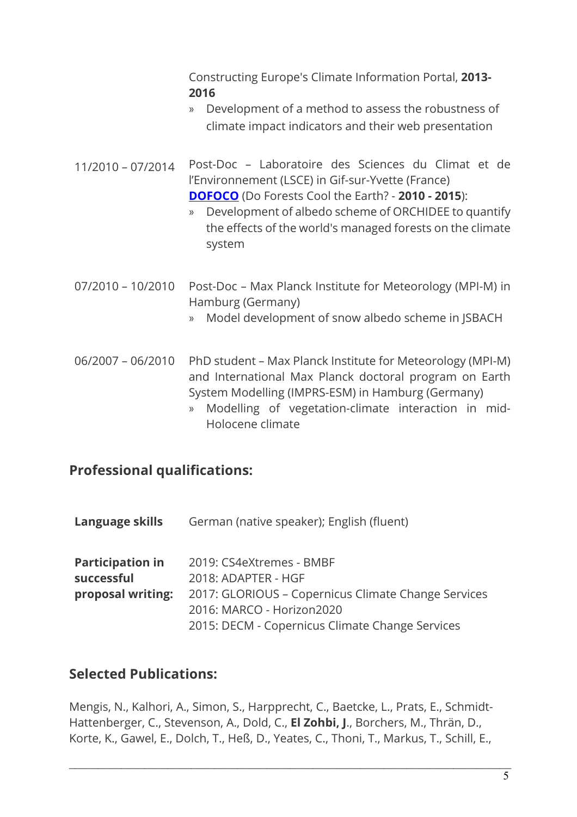Constructing Europe's Climate Information Portal, **2013- 2016** 

- » Development of a method to assess the robustness of climate impact indicators and their web presentation
- 11/2010 07/2014 Post-Doc Laboratoire des Sciences du Climat et de l'Environnement (LSCE) in Gif-sur-Yvette (France) **DOFOCO** (Do Forests Cool the Earth? - **2010 - 2015**):
	- » Development of albedo scheme of ORCHIDEE to quantify the effects of the world's managed forests on the climate system
- 07/2010 10/2010 Post-Doc Max Planck Institute for Meteorology (MPI-M) in Hamburg (Germany)
	- » Model development of snow albedo scheme in JSBACH
- 06/2007 06/2010 PhD student Max Planck Institute for Meteorology (MPI-M) and International Max Planck doctoral program on Earth System Modelling (IMPRS-ESM) in Hamburg (Germany)
	- » Modelling of vegetation-climate interaction in mid-Holocene climate

# **Professional qualifications:**

| Language skills         | German (native speaker); English (fluent)           |
|-------------------------|-----------------------------------------------------|
| <b>Participation in</b> | 2019: CS4eXtremes - BMBF                            |
| successful              | 2018: ADAPTER - HGF                                 |
| proposal writing:       | 2017: GLORIOUS - Copernicus Climate Change Services |
|                         | 2016: MARCO - Horizon2020                           |
|                         | 2015: DECM - Copernicus Climate Change Services     |

# **Selected Publications:**

Mengis, N., Kalhori, A., Simon, S., Harpprecht, C., Baetcke, L., Prats, E., Schmidt-Hattenberger, C., Stevenson, A., Dold, C., **El Zohbi, J**., Borchers, M., Thrän, D., Korte, K., Gawel, E., Dolch, T., Heß, D., Yeates, C., Thoni, T., Markus, T., Schill, E.,

 $\mathcal{L}_\mathcal{L} = \mathcal{L}_\mathcal{L} = \mathcal{L}_\mathcal{L} = \mathcal{L}_\mathcal{L} = \mathcal{L}_\mathcal{L} = \mathcal{L}_\mathcal{L} = \mathcal{L}_\mathcal{L} = \mathcal{L}_\mathcal{L} = \mathcal{L}_\mathcal{L} = \mathcal{L}_\mathcal{L} = \mathcal{L}_\mathcal{L} = \mathcal{L}_\mathcal{L} = \mathcal{L}_\mathcal{L} = \mathcal{L}_\mathcal{L} = \mathcal{L}_\mathcal{L} = \mathcal{L}_\mathcal{L} = \mathcal{L}_\mathcal{L}$